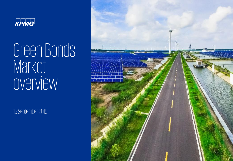

Green Bonds Market overview

13 September 2018

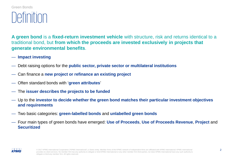#### Green Bonds

### Definition

**A green bond** is a **fixed-return investment vehicle** with structure, risk and returns identical to a traditional bond, but **from which the proceeds are invested exclusively in projects that generate environmental benefits**.

#### — **Impact investing**

- Debt raising options for the **public sector, private sector or multilateral institutions**
- Can finance a **new project or refinance an existing project**
- Often standard bonds with '**green attributes**'
- The **issuer describes the projects to be funded**
- Up to the **investor to decide whether the green bond matches their particular investment objectives and requirements**
- Two basic categories: **green-labelled bonds** and **unlabelled green bonds**
- Four main types of green bonds have emerged: **Use of Proceeds**, **Use of Proceeds Revenue**, **Project** and **Securitized**

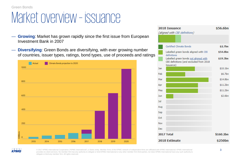#### Market overview – issuance

- **Growing**: Market has grown rapidly since the first issue from European Investment Bank in 2007
- **Diversifying**: Green Bonds are diversifying, with ever growing number of countries, issuer types, ratings, bond types, use of proceeds and ratings







© 2017 KPMG International Cooperative ("KPMG International"), a Swiss entity. Member firms of the KPMG network of independent firms are affiliated with KPMG International. KPMG International 3 provides no client services. No member firm has any authority to obligate or bind KPMG International or any other member firm third parties, nor does KPMG International have any such authority to obligate or bind any member firm. All rights reserved.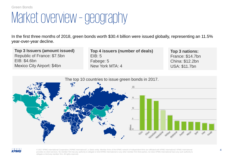### Market overview –geography

In the first three months of 2018, green bonds worth \$30.4 billion were issued globally, representing an 11.5% year-over-year decline.

**Top 3 Issuers (amount issued)** Republic of France: \$7.5bn EIB: \$4.6bn Mexico City Airport: \$4bn

**Top 4 issuers (number of deals)** EIB: 5 Fabege: 5 New York MTA: 4

**Top 3 nations:** France: \$14.7bn China: \$12.2bn USA: \$11.7bn





© 2017 KPMG International Cooperative ("KPMG International"), a Swiss entity. Member firms of the KPMG network of independent firms are affiliated with KPMG International. KPMG International provides no client services. No member firm has any authority to obligate or bind KPMG International or any other member firm third parties, nor does KPMG International have any such authority to obligate or bind any member firm. All rights reserved.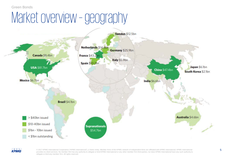#### Green Bonds

### Market overview - geography





© 2017 KPMG International Cooperative ("KPMG International"), a Swiss entity. Member firms of the KPMG network of independent firms are affiliated with KPMG International. KPMG International 5 provides no client services. No member firm has any authority to obligate or bind KPMG International or any other member firm third parties, nor does KPMG International have any such authority to obligate or bind any member firm. All rights reserved.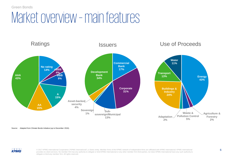Green Bonds

### Market overview – main features



Source: Adapted from Climate Bonds Initiative (up to December 2016).



© 2017 KPMG International Cooperative ("KPMG International"), a Swiss entity. Member firms of the KPMG network of independent firms are affiliated with KPMG International. KPMG International 6 provides no client services. No member firm has any authority to obligate or bind KPMG International or any other member firm third parties, nor does KPMG International have any such authority to obligate or bind any member firm. All rights reserved.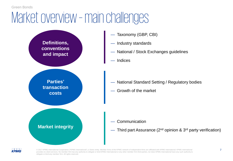## Market overview – main challenges





© 2017 KPMG International Cooperative ("KPMG International"), a Swiss entity. Member firms of the KPMG network of independent firms are affiliated with KPMG International. KPMG International 7 provides no client services. No member firm has any authority to obligate or bind KPMG International or any other member firm third parties, nor does KPMG International have any such authority to obligate or bind any member firm. All rights reserved.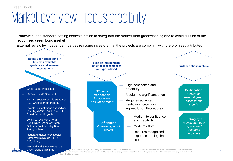### Market overview – focus credibility

or firm. All rights reserved.

- Framework and standard-setting bodies function to safeguard the market from greenwashing and to avoid dilution of the recognised green bond market
- External review by independent parties reassure investors that the projects are compliant with the promised attributes

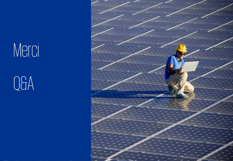# Merci

Q&A

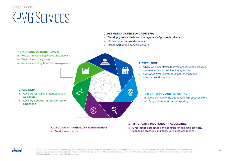#### KPMG Services Green Bonds





© 2017 KPMG International Cooperative ("KPMG International"), a Swiss entity. Member firms of the KPMG network of independent firms are affiliated with KPMG International. KPMG International 10 provides no client services. No member firm has any authority to obligate or bind KPMG International or any other member firm third parties, nor does KPMG International have any such authority to obligate or bind any member firm. All rights reserved.